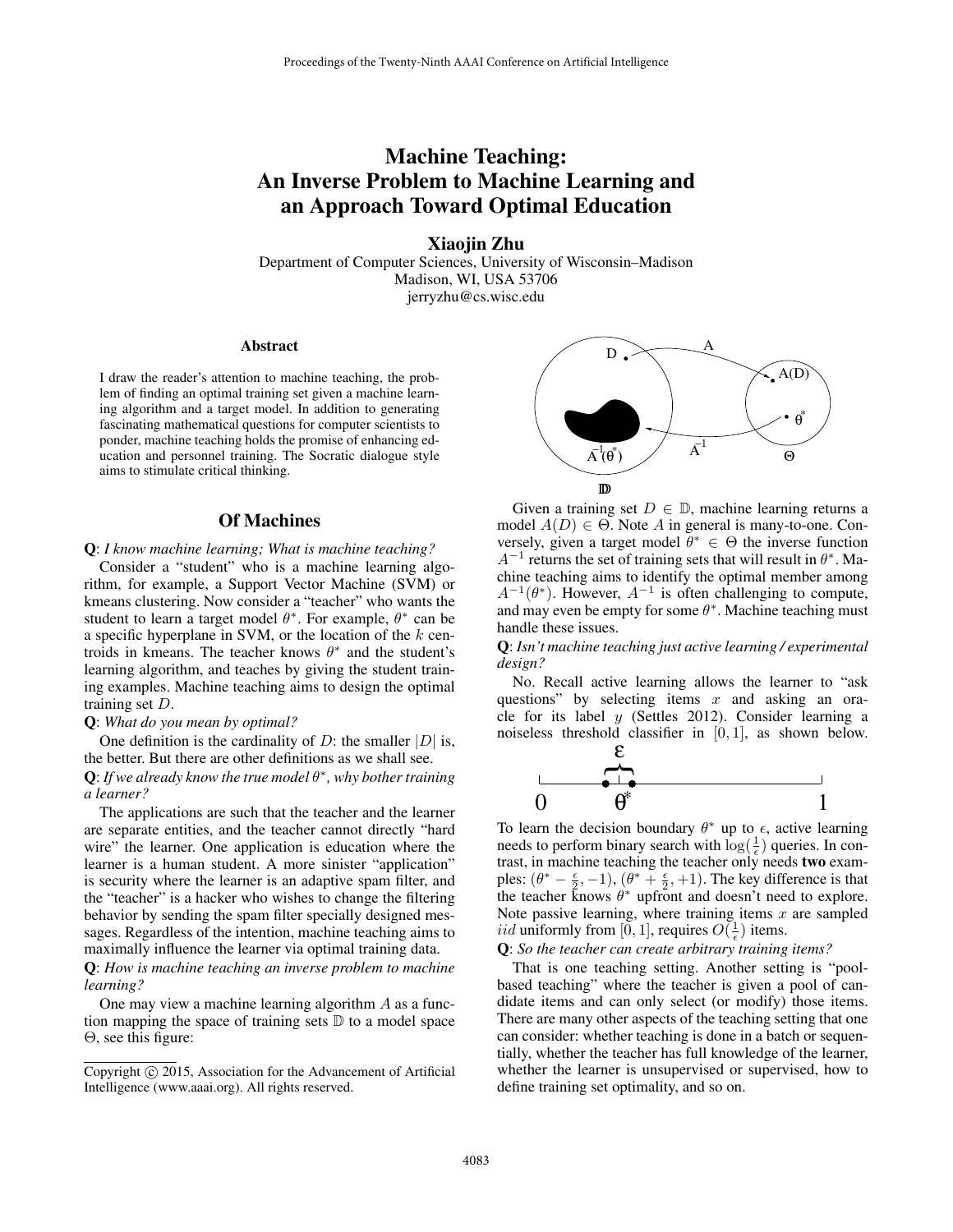# Machine Teaching: An Inverse Problem to Machine Learning and an Approach Toward Optimal Education

Xiaojin Zhu

Department of Computer Sciences, University of Wisconsin–Madison Madison, WI, USA 53706 jerryzhu@cs.wisc.edu

#### Abstract

I draw the reader's attention to machine teaching, the problem of finding an optimal training set given a machine learning algorithm and a target model. In addition to generating fascinating mathematical questions for computer scientists to ponder, machine teaching holds the promise of enhancing education and personnel training. The Socratic dialogue style aims to stimulate critical thinking.

## Of Machines

#### Q: *I know machine learning; What is machine teaching?*

Consider a "student" who is a machine learning algorithm, for example, a Support Vector Machine (SVM) or kmeans clustering. Now consider a "teacher" who wants the student to learn a target model  $\theta^*$ . For example,  $\theta^*$  can be a specific hyperplane in SVM, or the location of the *k* centroids in kmeans. The teacher knows  $\theta^*$  and the student's learning algorithm, and teaches by giving the student training examples. Machine teaching aims to design the optimal training set *D*.

#### Q: *What do you mean by optimal?*

One definition is the cardinality of *D*: the smaller  $|D|$  is, the better. But there are other definitions as we shall see. **Q**: If we already know the true model  $\theta^*$ , why bother training *a learner?*

The applications are such that the teacher and the learner are separate entities, and the teacher cannot directly "hard wire" the learner. One application is education where the learner is a human student. A more sinister "application" is security where the learner is an adaptive spam filter, and the "teacher" is a hacker who wishes to change the filtering behavior by sending the spam filter specially designed messages. Regardless of the intention, machine teaching aims to maximally influence the learner via optimal training data.

Q: *How is machine teaching an inverse problem to machine learning?*

One may view a machine learning algorithm *A* as a function mapping the space of training sets  $\mathbb D$  to a model space  $\Theta$ , see this figure:



Given a training set  $D \in \mathbb{D}$ , machine learning returns a model  $A(D) \in \Theta$ . Note *A* in general is many-to-one. Conversely, given a target model  $\theta^* \in \Theta$  the inverse function  $A^{-1}$  returns the set of training sets that will result in  $\theta^*$ . Machine teaching aims to identify the optimal member among  $A^{-1}(\theta^*)$ . However,  $A^{-1}$  is often challenging to compute, and may even be empty for some  $\theta^*$ . Machine teaching must handle these issues.

Q: *Isn't machine teaching just active learning / experimental design?*

No. Recall active learning allows the learner to "ask questions" by selecting items *x* and asking an oracle for its label *y* (Settles 2012). Consider learning a noiseless threshold classifier in [0*,* 1], as shown below.



To learn the decision boundary  $\theta^*$  up to  $\epsilon$ , active learning needs to perform binary search with  $\log(\frac{1}{\epsilon})$  queries. In contrast, in machine teaching the teacher only needs two examples:  $(\theta^* - \frac{\epsilon}{2}, -1), (\theta^* + \frac{\epsilon}{2}, +1)$ . The key difference is that the teacher knows  $\theta^*$  upfront and doesn't need to explore. Note passive learning, where training items *x* are sampled *iid* uniformly from [0, 1], requires  $O(\frac{1}{\epsilon})$  items.

Q: *So the teacher can create arbitrary training items?*

That is one teaching setting. Another setting is "poolbased teaching" where the teacher is given a pool of candidate items and can only select (or modify) those items. There are many other aspects of the teaching setting that one can consider: whether teaching is done in a batch or sequentially, whether the teacher has full knowledge of the learner, whether the learner is unsupervised or supervised, how to define training set optimality, and so on.

Copyright  $\odot$  2015, Association for the Advancement of Artificial Intelligence (www.aaai.org). All rights reserved.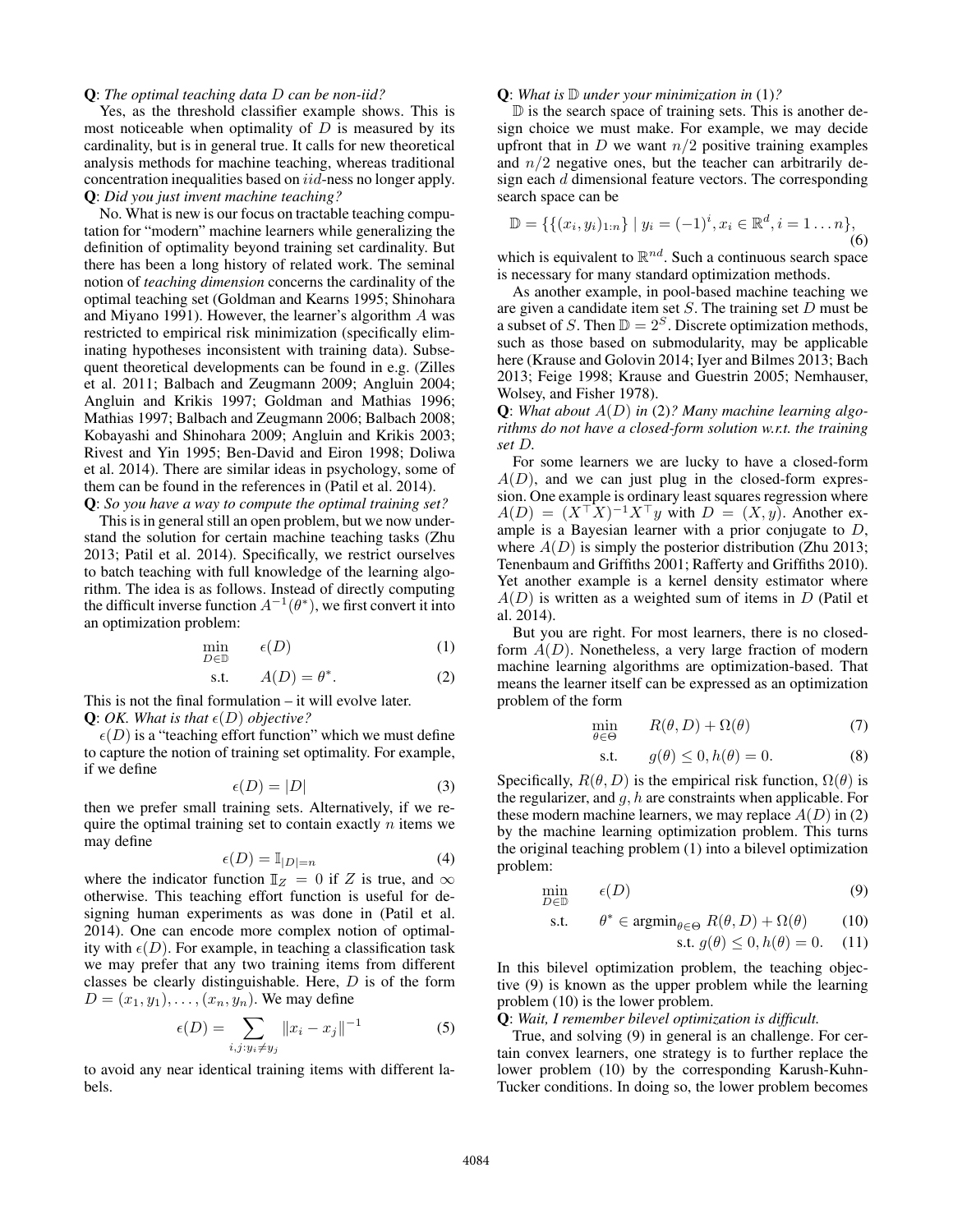### Q: *The optimal teaching data D can be non-iid?*

Yes, as the threshold classifier example shows. This is most noticeable when optimality of *D* is measured by its cardinality, but is in general true. It calls for new theoretical analysis methods for machine teaching, whereas traditional concentration inequalities based on *iid*-ness no longer apply. Q: *Did you just invent machine teaching?*

No. What is new is our focus on tractable teaching computation for "modern" machine learners while generalizing the definition of optimality beyond training set cardinality. But there has been a long history of related work. The seminal notion of *teaching dimension* concerns the cardinality of the optimal teaching set (Goldman and Kearns 1995; Shinohara and Miyano 1991). However, the learner's algorithm *A* was restricted to empirical risk minimization (specifically eliminating hypotheses inconsistent with training data). Subsequent theoretical developments can be found in e.g. (Zilles et al. 2011; Balbach and Zeugmann 2009; Angluin 2004; Angluin and Krikis 1997; Goldman and Mathias 1996; Mathias 1997; Balbach and Zeugmann 2006; Balbach 2008; Kobayashi and Shinohara 2009; Angluin and Krikis 2003; Rivest and Yin 1995; Ben-David and Eiron 1998; Doliwa et al. 2014). There are similar ideas in psychology, some of them can be found in the references in (Patil et al. 2014). Q: *So you have a way to compute the optimal training set?*

This is in general still an open problem, but we now understand the solution for certain machine teaching tasks (Zhu 2013; Patil et al. 2014). Specifically, we restrict ourselves to batch teaching with full knowledge of the learning algorithm. The idea is as follows. Instead of directly computing the difficult inverse function  $A^{-1}(\theta^*)$ , we first convert it into an optimization problem:

$$
\min_{D \in \mathbb{D}} \qquad \epsilon(D) \tag{1}
$$

$$
s.t. \tA(D) = \theta^*.
$$
\t(2)

This is not the final formulation – it will evolve later. **Q**: *OK. What is that*  $\epsilon(D)$  *objective?* 

 $\epsilon(D)$  is a "teaching effort function" which we must define to capture the notion of training set optimality. For example, if we define

$$
\epsilon(D) = |D| \tag{3}
$$

then we prefer small training sets. Alternatively, if we require the optimal training set to contain exactly *n* items we may define

$$
\epsilon(D) = \mathbb{I}_{|D|=n} \tag{4}
$$

where the indicator function  $\mathbb{I}_Z = 0$  if *Z* is true, and  $\infty$ otherwise. This teaching effort function is useful for designing human experiments as was done in (Patil et al. 2014). One can encode more complex notion of optimality with  $\epsilon(D)$ . For example, in teaching a classification task we may prefer that any two training items from different classes be clearly distinguishable. Here, *D* is of the form  $D = (x_1, y_1), \ldots, (x_n, y_n)$ . We may define

$$
\epsilon(D) = \sum_{i,j:y_i \neq y_j} ||x_i - x_j||^{-1} \tag{5}
$$

to avoid any near identical training items with different labels.

### Q: *What is* D *under your minimization in* (1)*?*

 $\mathbb D$  is the search space of training sets. This is another design choice we must make. For example, we may decide upfront that in  $D$  we want  $n/2$  positive training examples and  $n/2$  negative ones, but the teacher can arbitrarily design each *d* dimensional feature vectors. The corresponding search space can be

$$
\mathbb{D} = \{ \{ (x_i, y_i)_{1:n} \} \mid y_i = (-1)^i, x_i \in \mathbb{R}^d, i = 1 \dots n \},\tag{6}
$$

which is equivalent to  $\mathbb{R}^{nd}$ . Such a continuous search space is necessary for many standard optimization methods.

As another example, in pool-based machine teaching we are given a candidate item set *S*. The training set *D* must be a subset of *S*. Then  $\mathbb{D} = 2^S$ . Discrete optimization methods, such as those based on submodularity, may be applicable here (Krause and Golovin 2014; Iyer and Bilmes 2013; Bach 2013; Feige 1998; Krause and Guestrin 2005; Nemhauser, Wolsey, and Fisher 1978).

Q: *What about A*(*D*) *in* (2)*? Many machine learning algorithms do not have a closed-form solution w.r.t. the training set D.*

For some learners we are lucky to have a closed-form  $A(D)$ , and we can just plug in the closed-form expression. One example is ordinary least squares regression where  $A(D) = (X^{\top} X)^{-1} X^{\top} y$  with  $D = (X, y)$ . Another example is a Bayesian learner with a prior conjugate to *D*, where  $A(D)$  is simply the posterior distribution (Zhu 2013; Tenenbaum and Griffiths 2001; Rafferty and Griffiths 2010). Yet another example is a kernel density estimator where *A*(*D*) is written as a weighted sum of items in *D* (Patil et al. 2014).

But you are right. For most learners, there is no closedform *A*(*D*). Nonetheless, a very large fraction of modern machine learning algorithms are optimization-based. That means the learner itself can be expressed as an optimization problem of the form

$$
\min_{\theta \in \Theta} \qquad R(\theta, D) + \Omega(\theta) \tag{7}
$$

$$
\text{s.t.} \qquad g(\theta) \le 0, h(\theta) = 0. \tag{8}
$$

Specifically,  $R(\theta, D)$  is the empirical risk function,  $\Omega(\theta)$  is the regularizer, and *g, h* are constraints when applicable. For these modern machine learners, we may replace  $A(D)$  in (2) by the machine learning optimization problem. This turns the original teaching problem (1) into a bilevel optimization problem:

$$
\min_{D \in \mathbb{D}} \qquad \epsilon(D) \tag{9}
$$

s.t. 
$$
\theta^* \in \operatorname{argmin}_{\theta \in \Theta} R(\theta, D) + \Omega(\theta)
$$
 (10)

$$
\text{s.t. } g(\theta) \le 0, h(\theta) = 0. \quad (11)
$$

In this bilevel optimization problem, the teaching objective (9) is known as the upper problem while the learning problem (10) is the lower problem.

Q: *Wait, I remember bilevel optimization is difficult.*

True, and solving (9) in general is an challenge. For certain convex learners, one strategy is to further replace the lower problem (10) by the corresponding Karush-Kuhn-Tucker conditions. In doing so, the lower problem becomes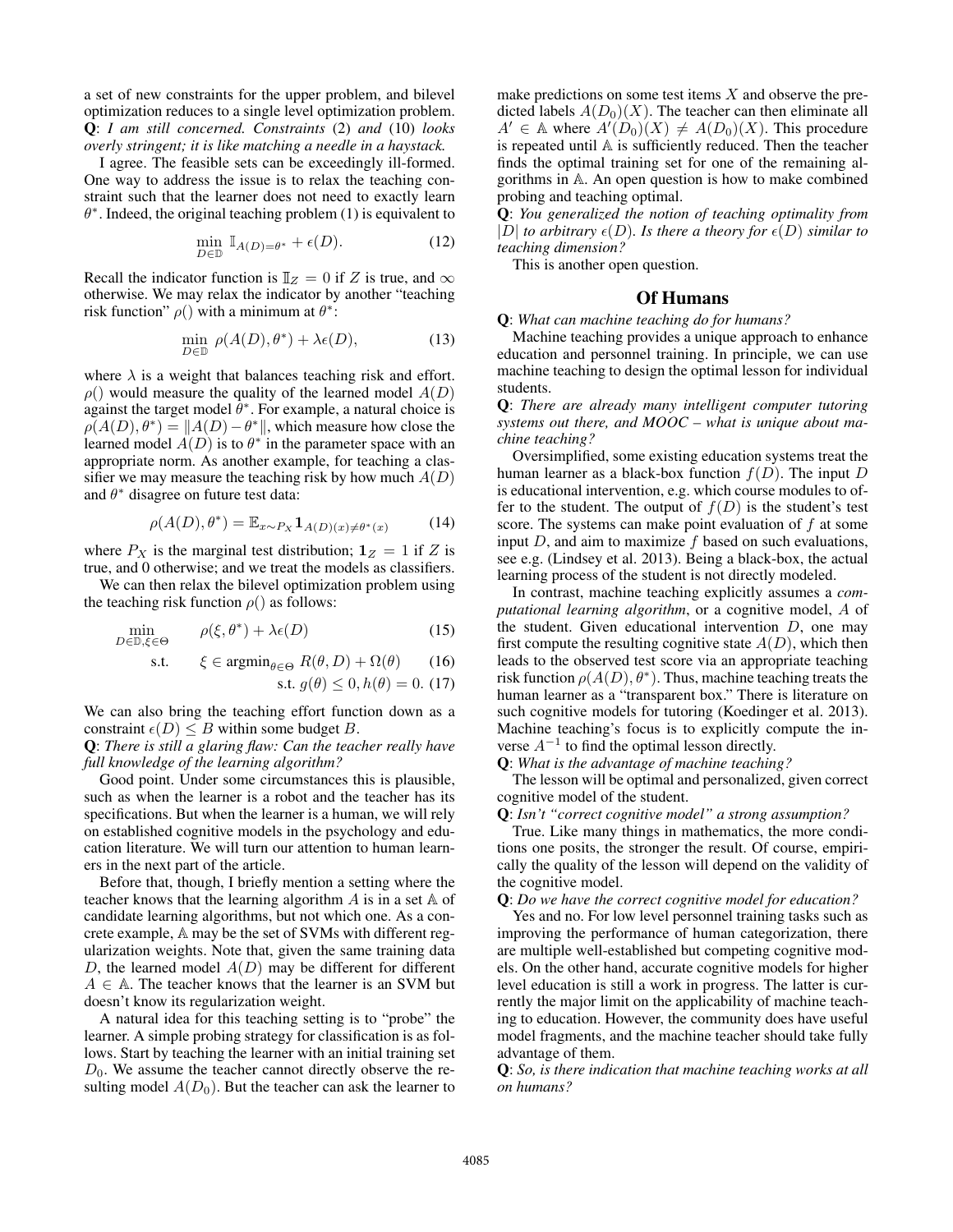a set of new constraints for the upper problem, and bilevel optimization reduces to a single level optimization problem. Q: *I am still concerned. Constraints* (2) *and* (10) *looks overly stringent; it is like matching a needle in a haystack.*

I agree. The feasible sets can be exceedingly ill-formed. One way to address the issue is to relax the teaching constraint such that the learner does not need to exactly learn  $\theta^*$ . Indeed, the original teaching problem (1) is equivalent to

$$
\min_{D \in \mathbb{D}} \mathbb{I}_{A(D)=\theta^*} + \epsilon(D). \tag{12}
$$

Recall the indicator function is  $\mathbb{I}_Z = 0$  if *Z* is true, and  $\infty$ otherwise. We may relax the indicator by another "teaching risk function"  $\rho()$  with a minimum at  $\theta^*$ :

$$
\min_{D \in \mathbb{D}} \, \rho(A(D), \theta^*) + \lambda \epsilon(D),\tag{13}
$$

where  $\lambda$  is a weight that balances teaching risk and effort.  $\rho$ () would measure the quality of the learned model  $A(D)$ against the target model  $\theta^*$ . For example, a natural choice is  $\rho(A(D), \theta^*) = ||A(D) - \theta^*||$ , which measure how close the learned model  $A(D)$  is to  $\theta^*$  in the parameter space with an appropriate norm. As another example, for teaching a classifier we may measure the teaching risk by how much *A*(*D*) and  $\theta^*$  disagree on future test data:

$$
\rho(A(D), \theta^*) = \mathbb{E}_{x \sim P_X} \mathbf{1}_{A(D)(x) \neq \theta^*(x)} \tag{14}
$$

where  $P_X$  is the marginal test distribution;  $\mathbf{1}_Z = 1$  if *Z* is true, and 0 otherwise; and we treat the models as classifiers.

We can then relax the bilevel optimization problem using the teaching risk function  $\rho()$  as follows:

$$
\min_{D \in \mathbb{D}, \xi \in \Theta} \qquad \rho(\xi, \theta^*) + \lambda \epsilon(D) \tag{15}
$$

s.t.  $\xi \in \operatorname{argmin}_{\theta \in \Theta} R(\theta, D) + \Omega(\theta)$  (16)

s.t. 
$$
g(\theta) \leq 0, h(\theta) = 0.
$$
 (17)

We can also bring the teaching effort function down as a constraint  $\epsilon(D) \leq B$  within some budget *B*.

Q: *There is still a glaring flaw: Can the teacher really have full knowledge of the learning algorithm?*

Good point. Under some circumstances this is plausible, such as when the learner is a robot and the teacher has its specifications. But when the learner is a human, we will rely on established cognitive models in the psychology and education literature. We will turn our attention to human learners in the next part of the article.

Before that, though, I briefly mention a setting where the teacher knows that the learning algorithm  $A$  is in a set  $A$  of candidate learning algorithms, but not which one. As a concrete example, A may be the set of SVMs with different regularization weights. Note that, given the same training data *D*, the learned model *A*(*D*) may be different for different  $A \in A$ . The teacher knows that the learner is an SVM but doesn't know its regularization weight.

A natural idea for this teaching setting is to "probe" the learner. A simple probing strategy for classification is as follows. Start by teaching the learner with an initial training set  $D_0$ . We assume the teacher cannot directly observe the resulting model  $A(D_0)$ . But the teacher can ask the learner to

make predictions on some test items *X* and observe the predicted labels  $A(D_0)(X)$ . The teacher can then eliminate all  $A' \in A$  where  $A'(D_0)(X) \neq A(D_0)(X)$ . This procedure is repeated until A is sufficiently reduced. Then the teacher finds the optimal training set for one of the remaining algorithms in A. An open question is how to make combined probing and teaching optimal.

Q: *You generalized the notion of teaching optimality from*  $|D|$  *to arbitrary*  $\epsilon(D)$ *. Is there a theory for*  $\epsilon(D)$  *similar to teaching dimension?*

This is another open question.

## Of Humans

Q: *What can machine teaching do for humans?*

Machine teaching provides a unique approach to enhance education and personnel training. In principle, we can use machine teaching to design the optimal lesson for individual students.

Q: *There are already many intelligent computer tutoring systems out there, and MOOC – what is unique about machine teaching?*

Oversimplified, some existing education systems treat the human learner as a black-box function *f*(*D*). The input *D* is educational intervention, e.g. which course modules to offer to the student. The output of  $f(D)$  is the student's test score. The systems can make point evaluation of *f* at some input *D*, and aim to maximize *f* based on such evaluations, see e.g. (Lindsey et al. 2013). Being a black-box, the actual learning process of the student is not directly modeled.

In contrast, machine teaching explicitly assumes a *computational learning algorithm*, or a cognitive model, *A* of the student. Given educational intervention *D*, one may first compute the resulting cognitive state  $A(D)$ , which then leads to the observed test score via an appropriate teaching risk function  $\rho(A(D), \theta^*)$ . Thus, machine teaching treats the human learner as a "transparent box." There is literature on such cognitive models for tutoring (Koedinger et al. 2013). Machine teaching's focus is to explicitly compute the inverse  $A^{-1}$  to find the optimal lesson directly.

Q: *What is the advantage of machine teaching?*

The lesson will be optimal and personalized, given correct cognitive model of the student.

Q: *Isn't "correct cognitive model" a strong assumption?*

True. Like many things in mathematics, the more conditions one posits, the stronger the result. Of course, empirically the quality of the lesson will depend on the validity of the cognitive model.

Q: *Do we have the correct cognitive model for education?*

Yes and no. For low level personnel training tasks such as improving the performance of human categorization, there are multiple well-established but competing cognitive models. On the other hand, accurate cognitive models for higher level education is still a work in progress. The latter is currently the major limit on the applicability of machine teaching to education. However, the community does have useful model fragments, and the machine teacher should take fully advantage of them.

Q: *So, is there indication that machine teaching works at all on humans?*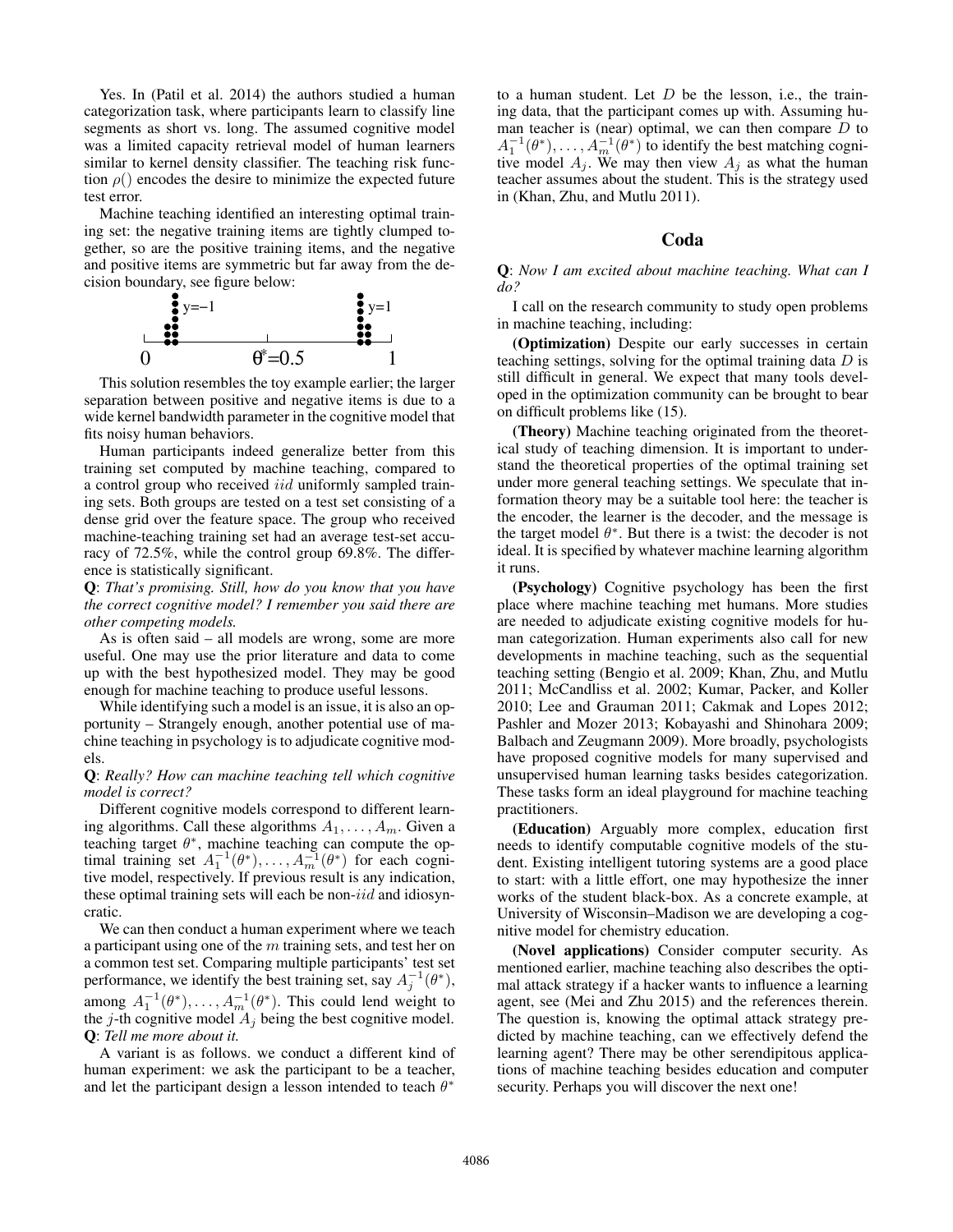Yes. In (Patil et al. 2014) the authors studied a human categorization task, where participants learn to classify line segments as short vs. long. The assumed cognitive model was a limited capacity retrieval model of human learners similar to kernel density classifier. The teaching risk function  $\rho()$  encodes the desire to minimize the expected future test error.

Machine teaching identified an interesting optimal training set: the negative training items are tightly clumped together, so are the positive training items, and the negative and positive items are symmetric but far away from the decision boundary, see figure below:



This solution resembles the toy example earlier; the larger separation between positive and negative items is due to a wide kernel bandwidth parameter in the cognitive model that fits noisy human behaviors.

Human participants indeed generalize better from this training set computed by machine teaching, compared to a control group who received *iid* uniformly sampled training sets. Both groups are tested on a test set consisting of a dense grid over the feature space. The group who received machine-teaching training set had an average test-set accuracy of 72.5%, while the control group 69.8%. The difference is statistically significant.

Q: *That's promising. Still, how do you know that you have the correct cognitive model? I remember you said there are other competing models.*

As is often said – all models are wrong, some are more useful. One may use the prior literature and data to come up with the best hypothesized model. They may be good enough for machine teaching to produce useful lessons.

While identifying such a model is an issue, it is also an opportunity – Strangely enough, another potential use of machine teaching in psychology is to adjudicate cognitive models.

## Q: *Really? How can machine teaching tell which cognitive model is correct?*

Different cognitive models correspond to different learning algorithms. Call these algorithms *A*1*,...,Am*. Given a teaching target  $\theta^*$ , machine teaching can compute the optimal training set  $A_1^{-1}(\theta^*), \ldots, A_m^{-1}(\theta^*)$  for each cognitive model, respectively. If previous result is any indication, these optimal training sets will each be non-*iid* and idiosyncratic.

We can then conduct a human experiment where we teach a participant using one of the *m* training sets, and test her on a common test set. Comparing multiple participants' test set performance, we identify the best training set, say  $A_j^{-1}(\theta^*),$ among  $A_1^{-1}(\theta^*), \ldots, A_m^{-1}(\theta^*)$ . This could lend weight to the  $j$ -th cognitive model  $A_j$  being the best cognitive model. Q: *Tell me more about it.*

A variant is as follows. we conduct a different kind of human experiment: we ask the participant to be a teacher, and let the participant design a lesson intended to teach  $\theta^*$ 

to a human student. Let *D* be the lesson, i.e., the training data, that the participant comes up with. Assuming human teacher is (near) optimal, we can then compare *D* to  $A_1^{-1}(\theta^*), \ldots, A_m^{-1}(\theta^*)$  to identify the best matching cognitive model  $A_j$ . We may then view  $A_j$  as what the human teacher assumes about the student. This is the strategy used in (Khan, Zhu, and Mutlu 2011).

# Coda

Q: *Now I am excited about machine teaching. What can I do?*

I call on the research community to study open problems in machine teaching, including:

(Optimization) Despite our early successes in certain teaching settings, solving for the optimal training data *D* is still difficult in general. We expect that many tools developed in the optimization community can be brought to bear on difficult problems like (15).

(Theory) Machine teaching originated from the theoretical study of teaching dimension. It is important to understand the theoretical properties of the optimal training set under more general teaching settings. We speculate that information theory may be a suitable tool here: the teacher is the encoder, the learner is the decoder, and the message is the target model  $\theta^*$ . But there is a twist: the decoder is not ideal. It is specified by whatever machine learning algorithm it runs.

(Psychology) Cognitive psychology has been the first place where machine teaching met humans. More studies are needed to adjudicate existing cognitive models for human categorization. Human experiments also call for new developments in machine teaching, such as the sequential teaching setting (Bengio et al. 2009; Khan, Zhu, and Mutlu 2011; McCandliss et al. 2002; Kumar, Packer, and Koller 2010; Lee and Grauman 2011; Cakmak and Lopes 2012; Pashler and Mozer 2013; Kobayashi and Shinohara 2009; Balbach and Zeugmann 2009). More broadly, psychologists have proposed cognitive models for many supervised and unsupervised human learning tasks besides categorization. These tasks form an ideal playground for machine teaching practitioners.

(Education) Arguably more complex, education first needs to identify computable cognitive models of the student. Existing intelligent tutoring systems are a good place to start: with a little effort, one may hypothesize the inner works of the student black-box. As a concrete example, at University of Wisconsin–Madison we are developing a cognitive model for chemistry education.

(Novel applications) Consider computer security. As mentioned earlier, machine teaching also describes the optimal attack strategy if a hacker wants to influence a learning agent, see (Mei and Zhu 2015) and the references therein. The question is, knowing the optimal attack strategy predicted by machine teaching, can we effectively defend the learning agent? There may be other serendipitous applications of machine teaching besides education and computer security. Perhaps you will discover the next one!